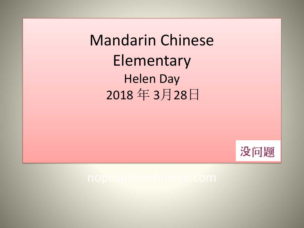Mandarin Chinese Elementary Helen Day 2018 年 3月28日

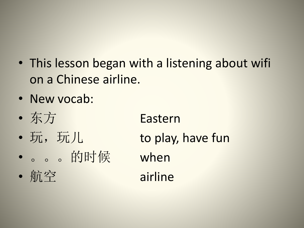- This lesson began with a listening about wifi on a Chinese airline.
- New vocab:
- 东方 Eastern
- 玩, 玩儿 to play, have fun
- 。。。的时候 when
- 航空 airline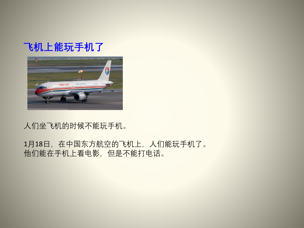### **飞机上能玩手机了**



#### 人们坐飞机的时候不能玩手机。

#### 1月18日,在中国东方航空的飞机上,人们能玩手机了。 他们能在手机上看电影,但是不能打电话。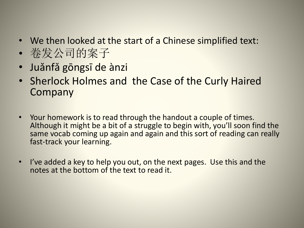- We then looked at the start of a Chinese simplified text:
- 卷发公司的案子
- Juǎnfǎ gōngsī de ànzi
- Sherlock Holmes and the Case of the Curly Haired Company
- Your homework is to read through the handout a couple of times. Although it might be a bit of a struggle to begin with, you'll soon find the same vocab coming up again and again and this sort of reading can really fast-track your learning.
- I've added a key to help you out, on the next pages. Use this and the notes at the bottom of the text to read it.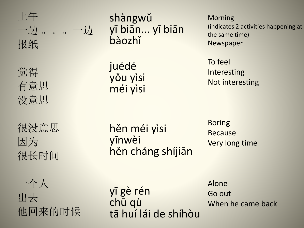

觉得 有意思 没意思

很没意思 因为 很长时间

一个人 出去 他回来的时候

shàngwǔ yī biān... yī biān bàozhǐ

juédé yǒu yìsi méi yìsi

Morning (indicates 2 activities happening at the same time) Newspaper

To feel Interesting Not interesting

hěn méi yìsi yīnwèi hěn cháng shíjiān

Boring Because Very long time

yī gè rén chū qù tā huí lái de shíhòu Alone Go out When he came back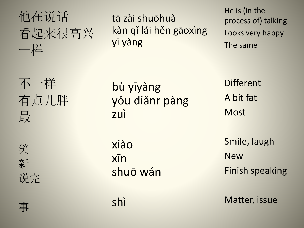## 他在说话 看起来很高兴 一样

tā zài shuōhuà kàn qǐ lái hěn gāoxìng yī yàng

He is (in the process of) talking Looks very happy The same

不一样 有点儿胖 最 笑 新 说完

bù yīyàng yǒu diǎnr pàng zuì xiào xīn

shuō wán

shì

A bit fat **Most** 

**Different** 

Smile, laugh New Finish speaking

Matter, issue